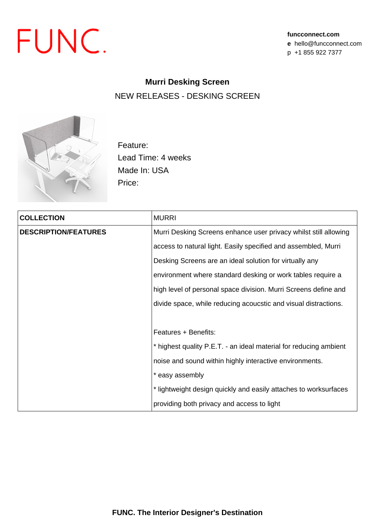

## **Murri Desking Screen** NEW RELEASES - DESKING SCREEN



Feature: Lead Time: 4 weeks Made In: USA Price:

| <b>COLLECTION</b>           | <b>MURRI</b>                                                      |  |  |  |  |  |
|-----------------------------|-------------------------------------------------------------------|--|--|--|--|--|
| <b>DESCRIPTION/FEATURES</b> | Murri Desking Screens enhance user privacy whilst still allowing  |  |  |  |  |  |
|                             | access to natural light. Easily specified and assembled, Murri    |  |  |  |  |  |
|                             | Desking Screens are an ideal solution for virtually any           |  |  |  |  |  |
|                             | environment where standard desking or work tables require a       |  |  |  |  |  |
|                             | high level of personal space division. Murri Screens define and   |  |  |  |  |  |
|                             | divide space, while reducing acoucstic and visual distractions.   |  |  |  |  |  |
|                             |                                                                   |  |  |  |  |  |
|                             | Features + Benefits:                                              |  |  |  |  |  |
|                             | * highest quality P.E.T. - an ideal material for reducing ambient |  |  |  |  |  |
|                             | noise and sound within highly interactive environments.           |  |  |  |  |  |
|                             | * easy assembly                                                   |  |  |  |  |  |
|                             | * lightweight design quickly and easily attaches to worksurfaces  |  |  |  |  |  |
|                             | providing both privacy and access to light                        |  |  |  |  |  |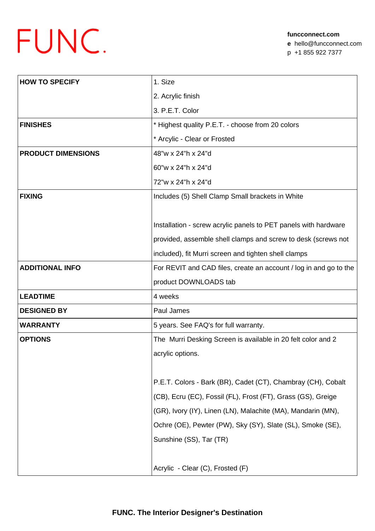## FUNC.

| <b>HOW TO SPECIFY</b>     | 1. Size                                                           |  |  |  |
|---------------------------|-------------------------------------------------------------------|--|--|--|
|                           | 2. Acrylic finish                                                 |  |  |  |
|                           | 3. P.E.T. Color                                                   |  |  |  |
| <b>FINISHES</b>           | * Highest quality P.E.T. - choose from 20 colors                  |  |  |  |
|                           | * Arcylic - Clear or Frosted                                      |  |  |  |
| <b>PRODUCT DIMENSIONS</b> | 48"w x 24"h x 24"d                                                |  |  |  |
|                           | 60"w x 24"h x 24"d                                                |  |  |  |
|                           | 72"w x 24"h x 24"d                                                |  |  |  |
| <b>FIXING</b>             | Includes (5) Shell Clamp Small brackets in White                  |  |  |  |
|                           |                                                                   |  |  |  |
|                           | Installation - screw acrylic panels to PET panels with hardware   |  |  |  |
|                           | provided, assemble shell clamps and screw to desk (screws not     |  |  |  |
|                           | included), fit Murri screen and tighten shell clamps              |  |  |  |
| <b>ADDITIONAL INFO</b>    | For REVIT and CAD files, create an account / log in and go to the |  |  |  |
|                           | product DOWNLOADS tab                                             |  |  |  |
| <b>LEADTIME</b>           | 4 weeks                                                           |  |  |  |
| <b>DESIGNED BY</b>        | Paul James                                                        |  |  |  |
| <b>WARRANTY</b>           | 5 years. See FAQ's for full warranty.                             |  |  |  |
| <b>OPTIONS</b>            | The Murri Desking Screen is available in 20 felt color and 2      |  |  |  |
|                           | acrylic options.                                                  |  |  |  |
|                           |                                                                   |  |  |  |
|                           | P.E.T. Colors - Bark (BR), Cadet (CT), Chambray (CH), Cobalt      |  |  |  |
|                           | (CB), Ecru (EC), Fossil (FL), Frost (FT), Grass (GS), Greige      |  |  |  |
|                           | (GR), Ivory (IY), Linen (LN), Malachite (MA), Mandarin (MN),      |  |  |  |
|                           | Ochre (OE), Pewter (PW), Sky (SY), Slate (SL), Smoke (SE),        |  |  |  |
|                           | Sunshine (SS), Tar (TR)                                           |  |  |  |
|                           |                                                                   |  |  |  |
|                           |                                                                   |  |  |  |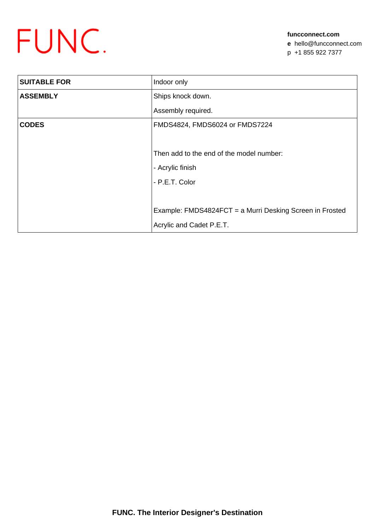

**funcconnect.com e** hello@funcconnect.com p +1 855 922 7377

| <b>SUITABLE FOR</b> | Indoor only                                              |  |  |  |  |
|---------------------|----------------------------------------------------------|--|--|--|--|
| <b>ASSEMBLY</b>     | Ships knock down.                                        |  |  |  |  |
|                     | Assembly required.                                       |  |  |  |  |
| <b>CODES</b>        | FMDS4824, FMDS6024 or FMDS7224                           |  |  |  |  |
|                     |                                                          |  |  |  |  |
|                     | Then add to the end of the model number:                 |  |  |  |  |
|                     | - Acrylic finish                                         |  |  |  |  |
|                     | - P.E.T. Color                                           |  |  |  |  |
|                     |                                                          |  |  |  |  |
|                     | Example: FMDS4824FCT = a Murri Desking Screen in Frosted |  |  |  |  |
|                     | Acrylic and Cadet P.E.T.                                 |  |  |  |  |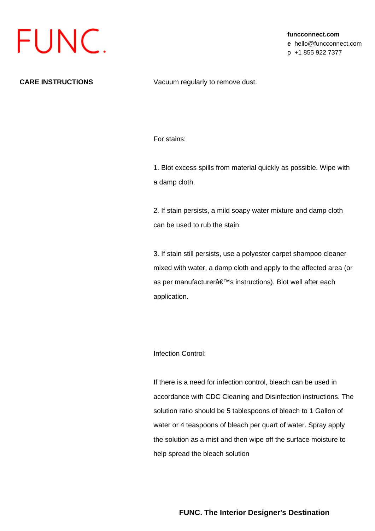

**funcconnect.com e** hello@funcconnect.com p +1 855 922 7377

**CARE INSTRUCTIONS** Vacuum regularly to remove dust.

For stains:

1. Blot excess spills from material quickly as possible. Wipe with a damp cloth.

2. If stain persists, a mild soapy water mixture and damp cloth can be used to rub the stain.

3. If stain still persists, use a polyester carpet shampoo cleaner mixed with water, a damp cloth and apply to the affected area (or as per manufacturer's instructions). Blot well after each application.

Infection Control:

If there is a need for infection control, bleach can be used in accordance with CDC Cleaning and Disinfection instructions. The solution ratio should be 5 tablespoons of bleach to 1 Gallon of water or 4 teaspoons of bleach per quart of water. Spray apply the solution as a mist and then wipe off the surface moisture to help spread the bleach solution

**FUNC. The Interior Designer's Destination**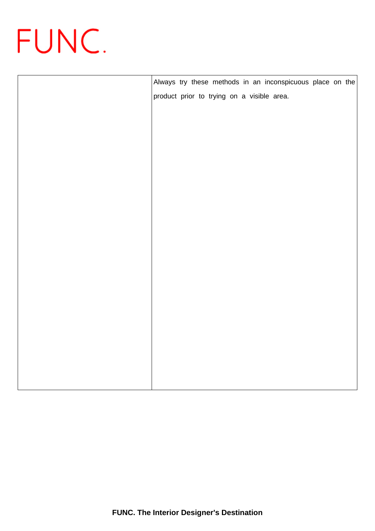

|  |  |  |  | Always try these methods in an inconspicuous place on the |  |  |
|--|--|--|--|-----------------------------------------------------------|--|--|
|  |  |  |  | product prior to trying on a visible area.                |  |  |
|  |  |  |  |                                                           |  |  |
|  |  |  |  |                                                           |  |  |
|  |  |  |  |                                                           |  |  |
|  |  |  |  |                                                           |  |  |
|  |  |  |  |                                                           |  |  |
|  |  |  |  |                                                           |  |  |
|  |  |  |  |                                                           |  |  |
|  |  |  |  |                                                           |  |  |
|  |  |  |  |                                                           |  |  |
|  |  |  |  |                                                           |  |  |
|  |  |  |  |                                                           |  |  |
|  |  |  |  |                                                           |  |  |
|  |  |  |  |                                                           |  |  |
|  |  |  |  |                                                           |  |  |
|  |  |  |  |                                                           |  |  |
|  |  |  |  |                                                           |  |  |
|  |  |  |  |                                                           |  |  |
|  |  |  |  |                                                           |  |  |
|  |  |  |  |                                                           |  |  |
|  |  |  |  |                                                           |  |  |
|  |  |  |  |                                                           |  |  |
|  |  |  |  |                                                           |  |  |
|  |  |  |  |                                                           |  |  |